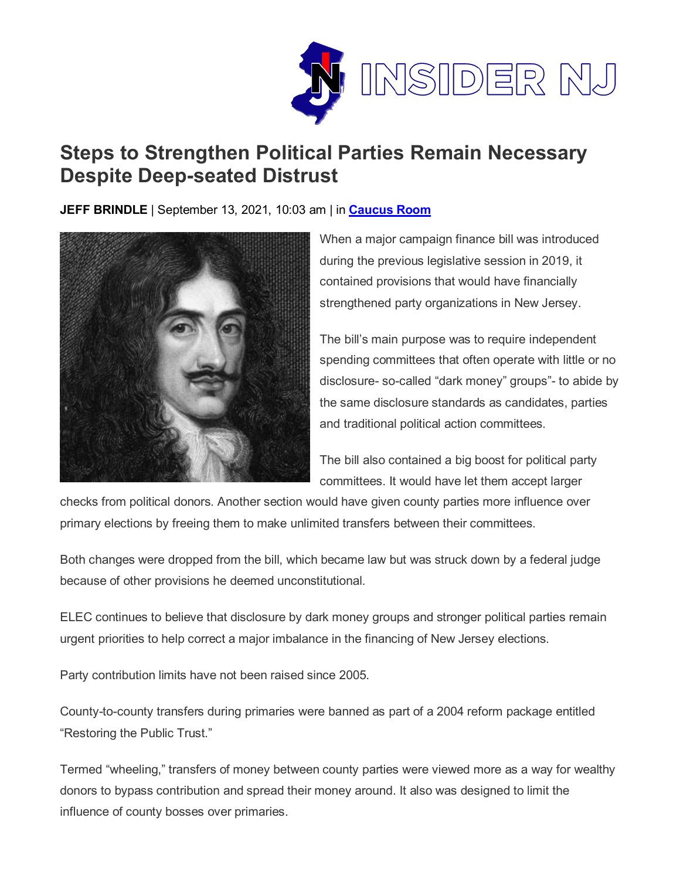

## **Steps to Strengthen Political Parties Remain Necessary Despite Deep-seated Distrust**

**JEFF BRINDLE** | September 13, 2021, 10:03 am | in **[Caucus Room](https://www.insidernj.com/category/caucus-room/)**



When a major campaign finance bill was introduced during the previous legislative session in 2019, it contained provisions that would have financially strengthened party organizations in New Jersey.

The bill's main purpose was to require independent spending committees that often operate with little or no disclosure- so-called "dark money" groups"- to abide by the same disclosure standards as candidates, parties and traditional political action committees.

The bill also contained a big boost for political party committees. It would have let them accept larger

checks from political donors. Another section would have given county parties more influence over primary elections by freeing them to make unlimited transfers between their committees.

Both changes were dropped from the bill, which became law but was struck down by a federal judge because of other provisions he deemed unconstitutional.

ELEC continues to believe that disclosure by dark money groups and stronger political parties remain urgent priorities to help correct a major imbalance in the financing of New Jersey elections.

Party contribution limits have not been raised since 2005.

County-to-county transfers during primaries were banned as part of a 2004 reform package entitled "Restoring the Public Trust."

Termed "wheeling," transfers of money between county parties were viewed more as a way for wealthy donors to bypass contribution and spread their money around. It also was designed to limit the influence of county bosses over primaries.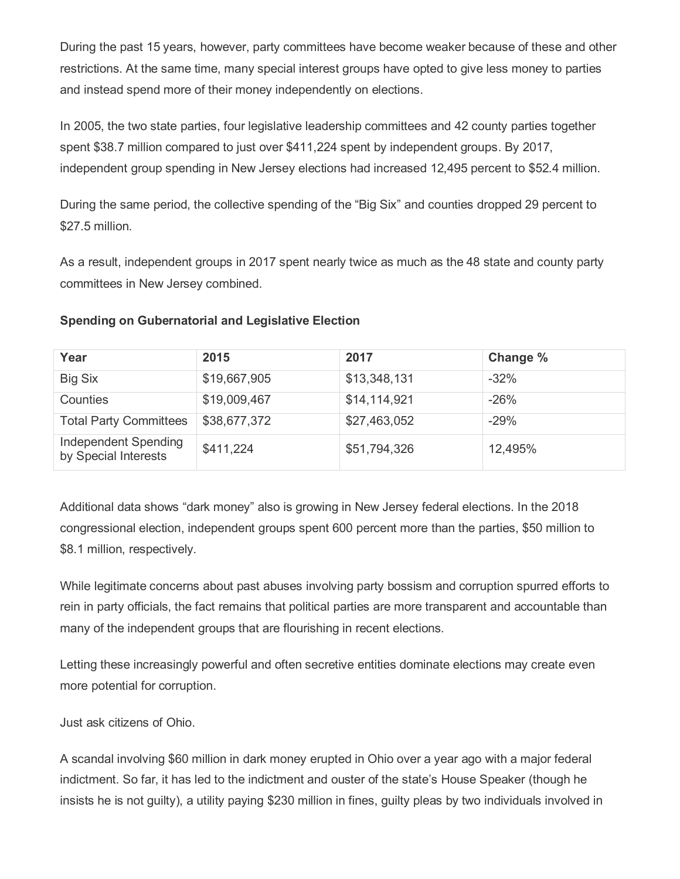During the past 15 years, however, party committees have become weaker because of these and other restrictions. At the same time, many special interest groups have opted to give less money to parties and instead spend more of their money independently on elections.

In 2005, the two state parties, four legislative leadership committees and 42 county parties together spent \$38.7 million compared to just over \$411,224 spent by independent groups. By 2017, independent group spending in New Jersey elections had increased 12,495 percent to \$52.4 million.

During the same period, the collective spending of the "Big Six" and counties dropped 29 percent to \$27.5 million.

As a result, independent groups in 2017 spent nearly twice as much as the 48 state and county party committees in New Jersey combined.

| Year                                         | 2015         | 2017         | Change % |
|----------------------------------------------|--------------|--------------|----------|
| <b>Big Six</b>                               | \$19,667,905 | \$13,348,131 | $-32\%$  |
| Counties                                     | \$19,009,467 | \$14,114,921 | $-26%$   |
| <b>Total Party Committees</b>                | \$38,677,372 | \$27,463,052 | $-29%$   |
| Independent Spending<br>by Special Interests | \$411,224    | \$51,794,326 | 12,495%  |

## **Spending on Gubernatorial and Legislative Election**

Additional data shows "dark money" also is growing in New Jersey federal elections. In the 2018 congressional election, independent groups spent 600 percent more than the parties, \$50 million to \$8.1 million, respectively.

While legitimate concerns about past abuses involving party bossism and corruption spurred efforts to rein in party officials, the fact remains that political parties are more transparent and accountable than many of the independent groups that are flourishing in recent elections.

Letting these increasingly powerful and often secretive entities dominate elections may create even more potential for corruption.

Just ask citizens of Ohio.

A scandal involving \$60 million in dark money erupted in Ohio over a year ago with a major federal indictment. So far, it has led to the indictment and ouster of the state's House Speaker (though he insists he is not guilty), a utility paying \$230 million in fines, guilty pleas by two individuals involved in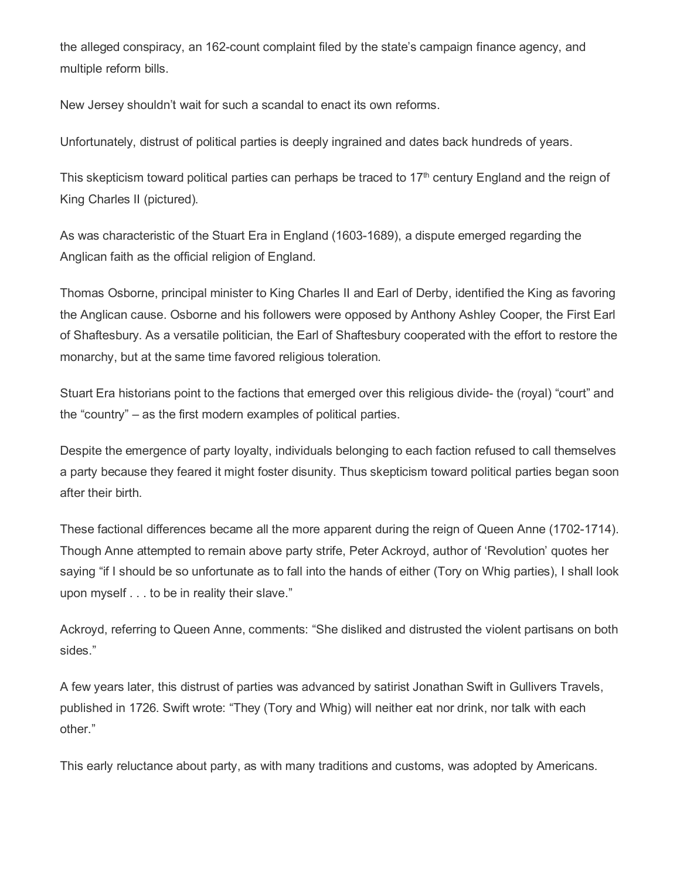the alleged conspiracy, an 162-count complaint filed by the state's campaign finance agency, and multiple reform bills.

New Jersey shouldn't wait for such a scandal to enact its own reforms.

Unfortunately, distrust of political parties is deeply ingrained and dates back hundreds of years.

This skepticism toward political parties can perhaps be traced to  $17<sup>th</sup>$  century England and the reign of King Charles II (pictured).

As was characteristic of the Stuart Era in England (1603-1689), a dispute emerged regarding the Anglican faith as the official religion of England.

Thomas Osborne, principal minister to King Charles II and Earl of Derby, identified the King as favoring the Anglican cause. Osborne and his followers were opposed by Anthony Ashley Cooper, the First Earl of Shaftesbury. As a versatile politician, the Earl of Shaftesbury cooperated with the effort to restore the monarchy, but at the same time favored religious toleration.

Stuart Era historians point to the factions that emerged over this religious divide- the (royal) "court" and the "country" – as the first modern examples of political parties.

Despite the emergence of party loyalty, individuals belonging to each faction refused to call themselves a party because they feared it might foster disunity. Thus skepticism toward political parties began soon after their birth.

These factional differences became all the more apparent during the reign of Queen Anne (1702-1714). Though Anne attempted to remain above party strife, Peter Ackroyd, author of 'Revolution' quotes her saying "if I should be so unfortunate as to fall into the hands of either (Tory on Whig parties), I shall look upon myself . . . to be in reality their slave."

Ackroyd, referring to Queen Anne, comments: "She disliked and distrusted the violent partisans on both sides."

A few years later, this distrust of parties was advanced by satirist Jonathan Swift in Gullivers Travels, published in 1726. Swift wrote: "They (Tory and Whig) will neither eat nor drink, nor talk with each other."

This early reluctance about party, as with many traditions and customs, was adopted by Americans.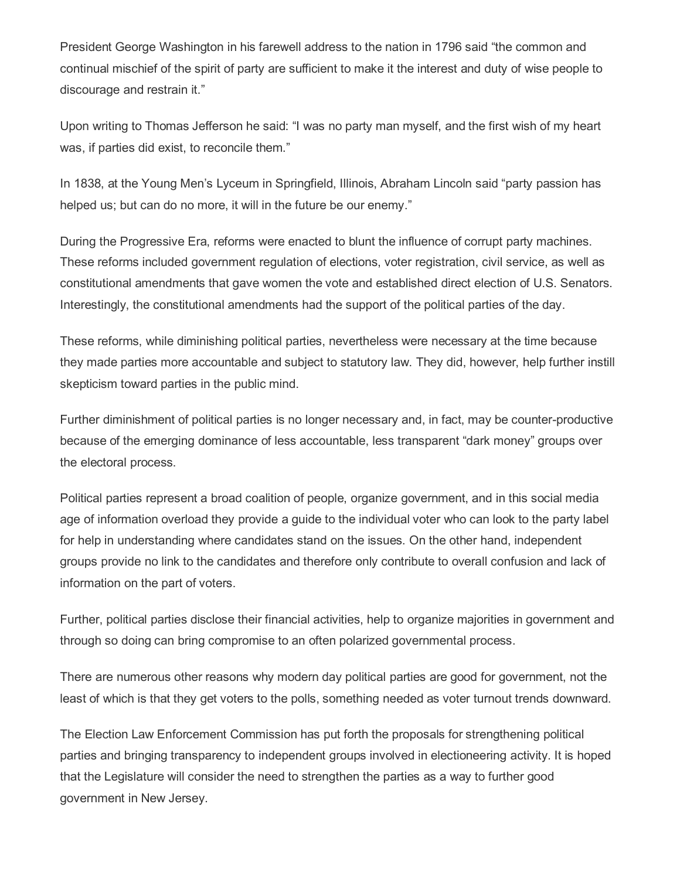President George Washington in his farewell address to the nation in 1796 said "the common and continual mischief of the spirit of party are sufficient to make it the interest and duty of wise people to discourage and restrain it."

Upon writing to Thomas Jefferson he said: "I was no party man myself, and the first wish of my heart was, if parties did exist, to reconcile them."

In 1838, at the Young Men's Lyceum in Springfield, Illinois, Abraham Lincoln said "party passion has helped us; but can do no more, it will in the future be our enemy."

During the Progressive Era, reforms were enacted to blunt the influence of corrupt party machines. These reforms included government regulation of elections, voter registration, civil service, as well as constitutional amendments that gave women the vote and established direct election of U.S. Senators. Interestingly, the constitutional amendments had the support of the political parties of the day.

These reforms, while diminishing political parties, nevertheless were necessary at the time because they made parties more accountable and subject to statutory law. They did, however, help further instill skepticism toward parties in the public mind.

Further diminishment of political parties is no longer necessary and, in fact, may be counter-productive because of the emerging dominance of less accountable, less transparent "dark money" groups over the electoral process.

Political parties represent a broad coalition of people, organize government, and in this social media age of information overload they provide a guide to the individual voter who can look to the party label for help in understanding where candidates stand on the issues. On the other hand, independent groups provide no link to the candidates and therefore only contribute to overall confusion and lack of information on the part of voters.

Further, political parties disclose their financial activities, help to organize majorities in government and through so doing can bring compromise to an often polarized governmental process.

There are numerous other reasons why modern day political parties are good for government, not the least of which is that they get voters to the polls, something needed as voter turnout trends downward.

The Election Law Enforcement Commission has put forth the proposals for strengthening political parties and bringing transparency to independent groups involved in electioneering activity. It is hoped that the Legislature will consider the need to strengthen the parties as a way to further good government in New Jersey.